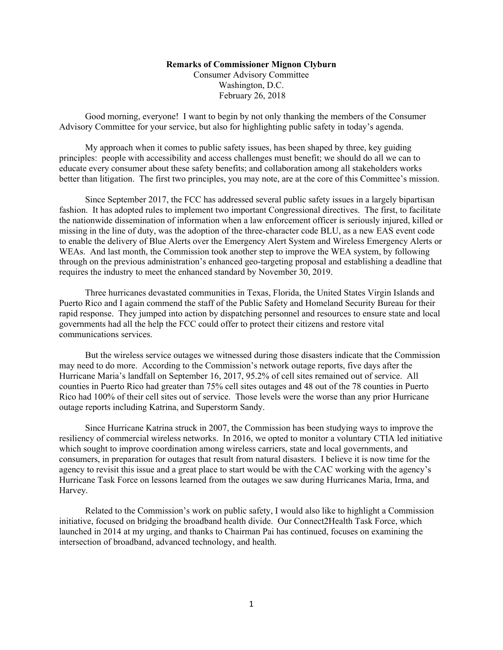## **Remarks of Commissioner Mignon Clyburn**

Consumer Advisory Committee Washington, D.C. February 26, 2018

Good morning, everyone! I want to begin by not only thanking the members of the Consumer Advisory Committee for your service, but also for highlighting public safety in today's agenda.

My approach when it comes to public safety issues, has been shaped by three, key guiding principles: people with accessibility and access challenges must benefit; we should do all we can to educate every consumer about these safety benefits; and collaboration among all stakeholders works better than litigation. The first two principles, you may note, are at the core of this Committee's mission.

Since September 2017, the FCC has addressed several public safety issues in a largely bipartisan fashion. It has adopted rules to implement two important Congressional directives. The first, to facilitate the nationwide dissemination of information when a law enforcement officer is seriously injured, killed or missing in the line of duty, was the adoption of the three-character code BLU, as a new EAS event code to enable the delivery of Blue Alerts over the Emergency Alert System and Wireless Emergency Alerts or WEAs. And last month, the Commission took another step to improve the WEA system, by following through on the previous administration's enhanced geo-targeting proposal and establishing a deadline that requires the industry to meet the enhanced standard by November 30, 2019.

Three hurricanes devastated communities in Texas, Florida, the United States Virgin Islands and Puerto Rico and I again commend the staff of the Public Safety and Homeland Security Bureau for their rapid response. They jumped into action by dispatching personnel and resources to ensure state and local governments had all the help the FCC could offer to protect their citizens and restore vital communications services.

But the wireless service outages we witnessed during those disasters indicate that the Commission may need to do more. According to the Commission's network outage reports, five days after the Hurricane Maria's landfall on September 16, 2017, 95.2% of cell sites remained out of service. All counties in Puerto Rico had greater than 75% cell sites outages and 48 out of the 78 counties in Puerto Rico had 100% of their cell sites out of service. Those levels were the worse than any prior Hurricane outage reports including Katrina, and Superstorm Sandy.

Since Hurricane Katrina struck in 2007, the Commission has been studying ways to improve the resiliency of commercial wireless networks. In 2016, we opted to monitor a voluntary CTIA led initiative which sought to improve coordination among wireless carriers, state and local governments, and consumers, in preparation for outages that result from natural disasters. I believe it is now time for the agency to revisit this issue and a great place to start would be with the CAC working with the agency's Hurricane Task Force on lessons learned from the outages we saw during Hurricanes Maria, Irma, and Harvey.

Related to the Commission's work on public safety, I would also like to highlight a Commission initiative, focused on bridging the broadband health divide. Our Connect2Health Task Force, which launched in 2014 at my urging, and thanks to Chairman Pai has continued, focuses on examining the intersection of broadband, advanced technology, and health.